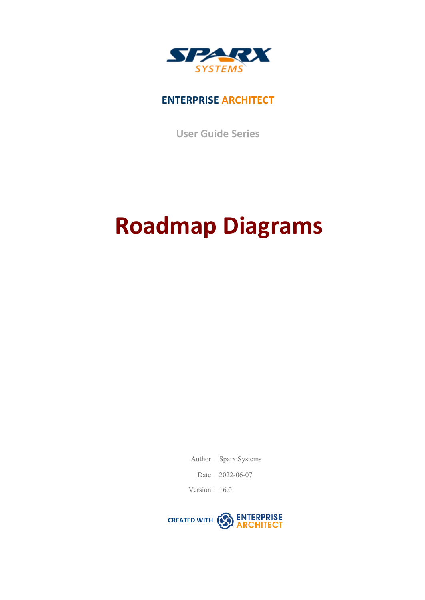

## **ENTERPRISE ARCHITECT**

**User Guide Series**

# **Roadmap Diagrams**

Author: Sparx Systems

Date: 2022-06-07

Version: 16.0

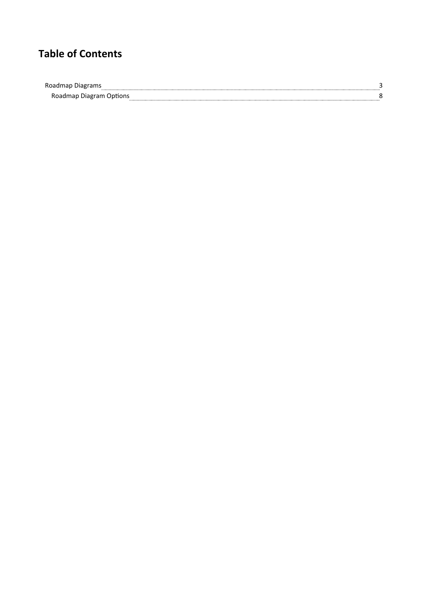## **Table of Contents**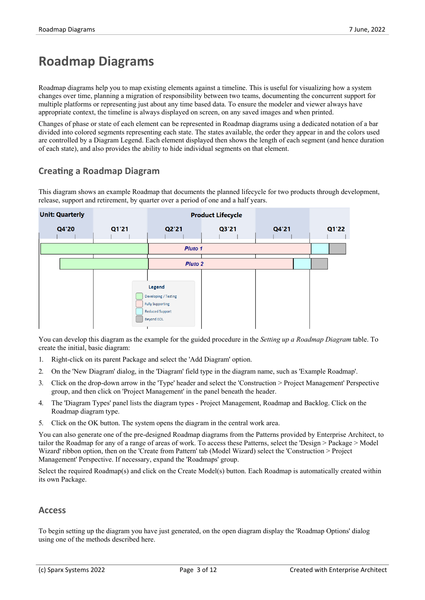# **Roadmap Diagrams**

Roadmap diagrams help you to map existing elements against a timeline. This is useful for visualizing how a system changes over time, planning a migration of responsibility between two teams, documenting the concurrent support for multiple platforms or representing just about any time based data. To ensure the modeler and viewer always have appropriate context, the timeline is always displayed on screen, on any saved images and when printed.

Changes of phase or state of each element can be represented in Roadmap diagrams using a dedicated notation of a bar divided into colored segments representing each state. The states available, the order they appear in and the colors used are controlled by a Diagram Legend. Each element displayed then shows the length of each segment (and hence duration of each state), and also provides the ability to hide individual segments on that element.

#### **Creating a Roadmap Diagram**

This diagram shows an example Roadmap that documents the planned lifecycle for two products through development, release, support and retirement, by quarter over a period of one and a half years.

| <b>Unit: Quarterly</b> |       |                         | <b>Product Lifecycle</b> |       |       |
|------------------------|-------|-------------------------|--------------------------|-------|-------|
| Q4'20                  | Q1'21 | Q2'21                   | Q3'21                    | Q4'21 | Q1'22 |
|                        |       |                         |                          |       |       |
|                        |       | Pluto 1                 |                          |       |       |
|                        |       | <b>Pluto 2</b>          |                          |       |       |
|                        |       |                         |                          |       |       |
|                        |       | Legend                  |                          |       |       |
|                        |       | Developing / Testing    |                          |       |       |
|                        |       | <b>Fully Supporting</b> |                          |       |       |
|                        |       | <b>Reduced Support</b>  |                          |       |       |
|                        |       | <b>Beyond EOL</b>       |                          |       |       |
|                        |       |                         |                          |       |       |

You can develop this diagram as the example for the guided procedure in the *Setting up a Roadmap Diagram* table. To create the initial, basic diagram:

- 1. Right-click on its parent Package and select the 'Add Diagram' option.
- 2. On the 'New Diagram' dialog, in the 'Diagram' field type in the diagram name, such as 'Example Roadmap'.
- 3. Click on the drop-down arrow in the 'Type' header and select the 'Construction > Project Management' Perspective group, and then click on 'Project Management' in the panel beneath the header.
- 4. The 'Diagram Types' panel lists the diagram types Project Management, Roadmap and Backlog. Click on the Roadmap diagram type.
- 5. Click on the OK button. The system opens the diagram in the central work area.

You can also generate one of the pre-designed Roadmap diagrams from the Patterns provided by Enterprise Architect, to tailor the Roadmap for any of a range of areas of work. To access these Patterns, select the 'Design  $>$  Package  $>$  Model Wizard' ribbon option, then on the 'Create from Pattern' tab (Model Wizard) select the 'Construction > Project Management' Perspective. If necessary, expand the 'Roadmaps' group.

Select the required Roadmap(s) and click on the Create Model(s) button. Each Roadmap is automatically created within its own Package.

#### **Access**

To begin setting up the diagram you have just generated, on the open diagram display the 'Roadmap Options' dialog using one of the methods described here.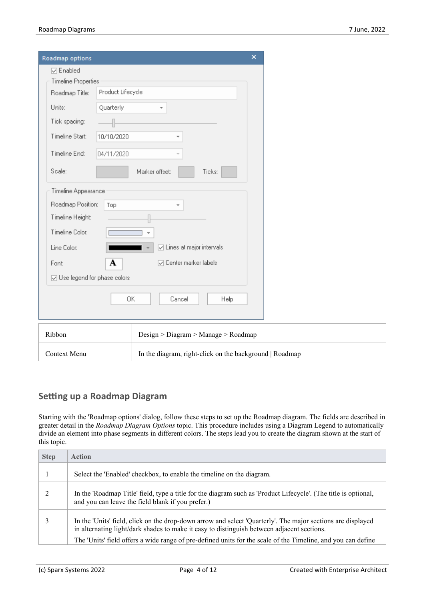| Roadmap options                                                                                                                          |                   |                                                                              | $\boldsymbol{\mathsf{x}}$ |
|------------------------------------------------------------------------------------------------------------------------------------------|-------------------|------------------------------------------------------------------------------|---------------------------|
| <b>▽</b> Enabled                                                                                                                         |                   |                                                                              |                           |
| <b>Timeline Properties</b>                                                                                                               |                   |                                                                              |                           |
| Roadmap Title:                                                                                                                           | Product Lifecycle |                                                                              |                           |
| Units:                                                                                                                                   | Quarterly         |                                                                              |                           |
| Tick spacing:                                                                                                                            |                   |                                                                              |                           |
| Timeline Start:                                                                                                                          | 10/10/2020        |                                                                              |                           |
| Timeline End:                                                                                                                            | 04/11/2020        |                                                                              |                           |
| Scale:                                                                                                                                   |                   | Marker offset:<br>Ticks:                                                     |                           |
| Timeline Appearance<br>Roadmap Position:<br>Timeline Height:<br>Timeline Color:<br>Line Color:<br>Font:<br>☑ Use legend for phase colors | Top<br>A          | $\overline{\smash{\cup}}$ Lines at major intervals<br>□ Center marker labels |                           |
|                                                                                                                                          |                   | Cancel<br>0K<br>Help                                                         |                           |
| Ribbon                                                                                                                                   |                   | Design > Diagram > Manage > Roadmap                                          |                           |
| <b>Context Menu</b>                                                                                                                      |                   | In the diagram, right-click on the background   Roadmap                      |                           |

#### **Setting up a Roadmap Diagram**

Starting with the 'Roadmap options' dialog, follow these steps to set up the Roadmap diagram. The fields are described in greater detail in the *Roadmap Diagram Options* topic. This procedure includes using a Diagram Legend to automatically divide an element into phase segments in different colors. The steps lead you to create the diagram shown at the start of this topic.

| <b>Step</b> | <b>Action</b>                                                                                                                                                                                                                                                                                                             |
|-------------|---------------------------------------------------------------------------------------------------------------------------------------------------------------------------------------------------------------------------------------------------------------------------------------------------------------------------|
|             | Select the 'Enabled' checkbox, to enable the timeline on the diagram.                                                                                                                                                                                                                                                     |
|             | In the 'Roadmap Title' field, type a title for the diagram such as 'Product Lifecycle'. (The title is optional,<br>and you can leave the field blank if you prefer.)                                                                                                                                                      |
|             | In the 'Units' field, click on the drop-down arrow and select 'Quarterly'. The major sections are displayed<br>in alternating light/dark shades to make it easy to distinguish between adjacent sections.<br>The 'Units' field offers a wide range of pre-defined units for the scale of the Timeline, and you can define |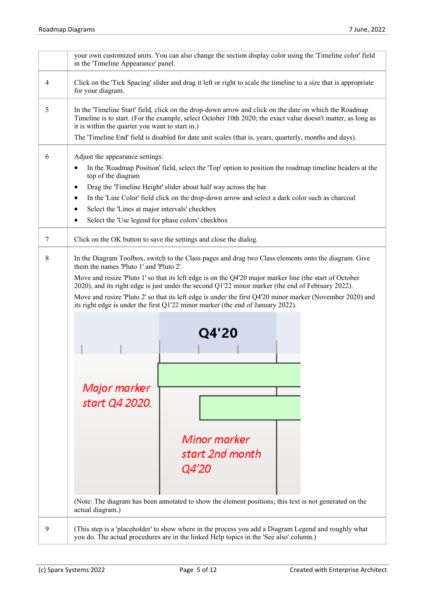|   | your own customized units. You can also change the section display color using the 'Timeline color' field<br>in the 'Timeline Appearance' panel.                                                                                                                                                                                                                                                                                                                                                                                                                                                                                                              |
|---|---------------------------------------------------------------------------------------------------------------------------------------------------------------------------------------------------------------------------------------------------------------------------------------------------------------------------------------------------------------------------------------------------------------------------------------------------------------------------------------------------------------------------------------------------------------------------------------------------------------------------------------------------------------|
| 4 | Click on the 'Tick Spacing' slider and drag it left or right to scale the timeline to a size that is appropriate<br>for your diagram.                                                                                                                                                                                                                                                                                                                                                                                                                                                                                                                         |
| 5 | In the 'Timeline Start' field, click on the drop-down arrow and click on the date on which the Roadmap<br>Timeline is to start. (For the example, select October 10th 2020; the exact value doesn't matter, as long as<br>it is within the quarter you want to start in.)<br>The 'Timeline End' field is disabled for date unit scales (that is, years, quarterly, months and days).                                                                                                                                                                                                                                                                          |
| 6 | Adjust the appearance settings:<br>In the 'Roadmap Position' field, select the 'Top' option to position the roadmap timeline headers at the<br>top of the diagram<br>Drag the 'Timeline Height' slider about half way across the bar<br>$\bullet$<br>In the 'Line Color' field click on the drop-down arrow and select a dark color such as charcoal<br>٠<br>Select the 'Lines at major intervals' checkbox<br>Select the 'Use legend for phase colors' checkbox<br>$\bullet$                                                                                                                                                                                 |
| 7 | Click on the OK button to save the settings and close the dialog.                                                                                                                                                                                                                                                                                                                                                                                                                                                                                                                                                                                             |
| 8 | In the Diagram Toolbox, switch to the Class pages and drag two Class elements onto the diagram. Give<br>them the names 'Pluto 1' and 'Pluto 2'.<br>Move and resize 'Pluto 1' so that its left edge is on the Q4'20 major marker line (the start of October<br>2020), and its right edge is just under the second Q1'22 minor marker (the end of February 2022).<br>Move and resize 'Pluto 2' so that its left edge is under the first Q4'20 minor marker (November 2020) and<br>its right edge is under the first Q1'22 minor marker (the end of January 2022).<br>Q4'20<br>Major marker<br>start Q4 2020.<br>Minor marker<br>start 2nd month<br><i>Q4'20</i> |
|   | (Note: The diagram has been annotated to show the element positions; this text is not generated on the<br>actual diagram.)                                                                                                                                                                                                                                                                                                                                                                                                                                                                                                                                    |
| 9 | (This step is a 'placeholder' to show where in the process you add a Diagram Legend and roughly what<br>you do. The actual procedures are in the linked Help topics in the 'See also' column.)                                                                                                                                                                                                                                                                                                                                                                                                                                                                |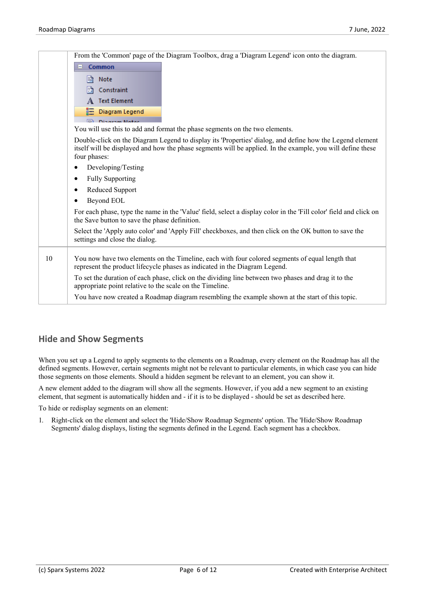|    | From the 'Common' page of the Diagram Toolbox, drag a 'Diagram Legend' icon onto the diagram.                                                                                                                                          |
|----|----------------------------------------------------------------------------------------------------------------------------------------------------------------------------------------------------------------------------------------|
|    | Common<br>$\Box$                                                                                                                                                                                                                       |
|    | B<br>Note                                                                                                                                                                                                                              |
|    | Constraint<br>Iħ                                                                                                                                                                                                                       |
|    | <b>Text Element</b>                                                                                                                                                                                                                    |
|    | Diagram Legend<br>疆                                                                                                                                                                                                                    |
|    | Printered Made                                                                                                                                                                                                                         |
|    | You will use this to add and format the phase segments on the two elements.                                                                                                                                                            |
|    | Double-click on the Diagram Legend to display its 'Properties' dialog, and define how the Legend element<br>itself will be displayed and how the phase segments will be applied. In the example, you will define these<br>four phases: |
|    | Developing/Testing                                                                                                                                                                                                                     |
|    | <b>Fully Supporting</b>                                                                                                                                                                                                                |
|    | <b>Reduced Support</b>                                                                                                                                                                                                                 |
|    | Beyond EOL                                                                                                                                                                                                                             |
|    | For each phase, type the name in the 'Value' field, select a display color in the 'Fill color' field and click on<br>the Save button to save the phase definition.                                                                     |
|    | Select the 'Apply auto color' and 'Apply Fill' checkboxes, and then click on the OK button to save the<br>settings and close the dialog.                                                                                               |
| 10 | You now have two elements on the Timeline, each with four colored segments of equal length that<br>represent the product lifecycle phases as indicated in the Diagram Legend.                                                          |
|    | To set the duration of each phase, click on the dividing line between two phases and drag it to the<br>appropriate point relative to the scale on the Timeline.                                                                        |
|    | You have now created a Roadmap diagram resembling the example shown at the start of this topic.                                                                                                                                        |
|    |                                                                                                                                                                                                                                        |

#### **Hide and Show Segments**

When you set up a Legend to apply segments to the elements on a Roadmap, every element on the Roadmap has all the defined segments. However, certain segments might not be relevant to particular elements, in which case you can hide those segments on those elements. Should a hidden segment be relevant to an element, you can show it.

A new element added to the diagram will show all the segments. However, if you add a new segment to an existing element, that segment is automatically hidden and - if it is to be displayed - should be set as described here.

To hide or redisplay segments on an element:

1. Right-click on the element and select the 'Hide/Show Roadmap Segments' option. The 'Hide/Show Roadmap Segments' dialog displays, listing the segments defined in the Legend. Each segment has a checkbox.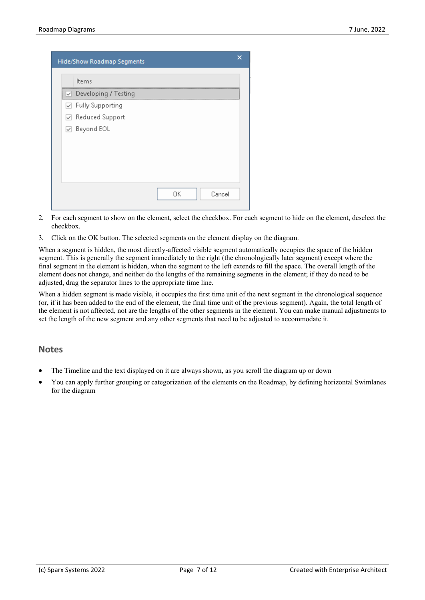| Hide/Show Roadmap Segments                          | × |
|-----------------------------------------------------|---|
| Items                                               |   |
| Developing / Testing<br>$\sim$                      |   |
| <b>Fully Supporting</b><br>$\overline{\mathcal{S}}$ |   |
| Reduced Support<br>$\mid\!\!\prec\!\!\!\mid$        |   |
| Beyond EOL<br>⋈                                     |   |
|                                                     |   |
|                                                     |   |
|                                                     |   |
|                                                     |   |
| Cancel<br>OΚ                                        |   |

- 2. For each segment to show on the element, select the checkbox. For each segment to hide on the element, deselect the checkbox.
- 3. Click on the OK button. The selected segments on the element display on the diagram.

When a segment is hidden, the most directly-affected visible segment automatically occupies the space of the hidden segment. This is generally the segment immediately to the right (the chronologically later segment) except where the final segment in the element is hidden, when the segment to the left extends to fill the space. The overall length of the element does not change, and neither do the lengths of the remaining segments in the element; if they do need to be adjusted, drag the separator lines to the appropriate time line.

When a hidden segment is made visible, it occupies the first time unit of the next segment in the chronological sequence (or, if it has been added to the end of the element, the final time unit of the previous segment). Again, the total length of the element is not affected, not are the lengths of the other segments in the element. You can make manual adjustments to set the length of the new segment and any other segments that need to be adjusted to accommodate it.

#### **Notes**

- The Timeline and the text displayed on it are always shown, as you scroll the diagram up or down
- · You can apply further grouping or categorization of the elements on the Roadmap, by defining horizontal Swimlanes for the diagram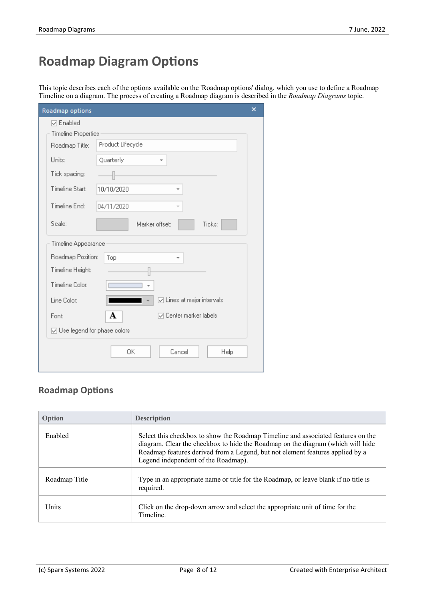# **Roadmap Diagram Options**

This topic describes each of the options available on the 'Roadmap options' dialog, which you use to define a Roadmap Timeline on a diagram. The process of creating a Roadmap diagram is described in the *Roadmap Diagrams* topic.

| Roadmap options               |                                                    | × |
|-------------------------------|----------------------------------------------------|---|
| <b>▽</b> Enabled              |                                                    |   |
| <b>Timeline Properties</b>    |                                                    |   |
| Roadmap Title:                | Product Lifecycle                                  |   |
| Units:                        | Quarterly                                          |   |
| Tick spacing:                 |                                                    |   |
| Timeline Start:               | 10/10/2020<br>$\overline{\phantom{a}}$             |   |
| Timeline End:                 | 04/11/2020<br>$\overline{\phantom{a}}$             |   |
| Scale:                        | Marker offset:<br>Ticks:                           |   |
| Timeline Appearance           |                                                    |   |
| Roadmap Position:             | Top<br>÷                                           |   |
| Timeline Height:              |                                                    |   |
| Timeline Color:               |                                                    |   |
| Line Color:                   | $\overline{\smash{\cup}}$ Lines at major intervals |   |
| Font:                         | А<br>O Center marker labels                        |   |
| ☑ Use legend for phase colors |                                                    |   |
|                               | OΚ<br>Cancel<br>Help                               |   |

### **Roadmap Options**

| Option        | <b>Description</b>                                                                                                                                                                                                                                                                          |
|---------------|---------------------------------------------------------------------------------------------------------------------------------------------------------------------------------------------------------------------------------------------------------------------------------------------|
| Enabled       | Select this checkbox to show the Roadmap Timeline and associated features on the<br>diagram. Clear the checkbox to hide the Roadmap on the diagram (which will hide<br>Roadmap features derived from a Legend, but not element features applied by a<br>Legend independent of the Roadmap). |
| Roadmap Title | Type in an appropriate name or title for the Roadmap, or leave blank if no title is<br>required.                                                                                                                                                                                            |
| Units         | Click on the drop-down arrow and select the appropriate unit of time for the<br>Timeline.                                                                                                                                                                                                   |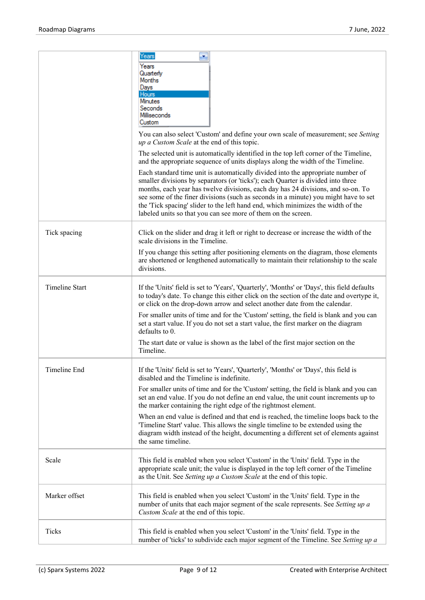|                       | Years<br>×<br>Years<br>Quarterly<br>Months<br>Days<br>Hours<br><b>Minutes</b><br>Seconds<br>Milliseconds<br>Custom<br>You can also select 'Custom' and define your own scale of measurement; see Setting<br>up a Custom Scale at the end of this topic.                                                                                                                                                                                                                                                                                                                                                                                                                         |
|-----------------------|---------------------------------------------------------------------------------------------------------------------------------------------------------------------------------------------------------------------------------------------------------------------------------------------------------------------------------------------------------------------------------------------------------------------------------------------------------------------------------------------------------------------------------------------------------------------------------------------------------------------------------------------------------------------------------|
|                       | The selected unit is automatically identified in the top left corner of the Timeline,<br>and the appropriate sequence of units displays along the width of the Timeline.<br>Each standard time unit is automatically divided into the appropriate number of<br>smaller divisions by separators (or 'ticks'); each Quarter is divided into three<br>months, each year has twelve divisions, each day has 24 divisions, and so-on. To<br>see some of the finer divisions (such as seconds in a minute) you might have to set<br>the 'Tick spacing' slider to the left hand end, which minimizes the width of the<br>labeled units so that you can see more of them on the screen. |
| Tick spacing          | Click on the slider and drag it left or right to decrease or increase the width of the<br>scale divisions in the Timeline.<br>If you change this setting after positioning elements on the diagram, those elements<br>are shortened or lengthened automatically to maintain their relationship to the scale<br>divisions.                                                                                                                                                                                                                                                                                                                                                       |
| <b>Timeline Start</b> | If the 'Units' field is set to 'Years', 'Quarterly', 'Months' or 'Days', this field defaults<br>to today's date. To change this either click on the section of the date and overtype it,<br>or click on the drop-down arrow and select another date from the calendar.<br>For smaller units of time and for the 'Custom' setting, the field is blank and you can<br>set a start value. If you do not set a start value, the first marker on the diagram<br>defaults to 0.<br>The start date or value is shown as the label of the first major section on the<br>Timeline.                                                                                                       |
| Timeline End          | If the 'Units' field is set to 'Years', 'Quarterly', 'Months' or 'Days', this field is<br>disabled and the Timeline is indefinite.<br>For smaller units of time and for the 'Custom' setting, the field is blank and you can<br>set an end value. If you do not define an end value, the unit count increments up to<br>the marker containing the right edge of the rightmost element.<br>When an end value is defined and that end is reached, the timeline loops back to the<br>Timeline Start' value. This allows the single timeline to be extended using the<br>diagram width instead of the height, documenting a different set of elements against<br>the same timeline. |
| Scale                 | This field is enabled when you select 'Custom' in the 'Units' field. Type in the<br>appropriate scale unit; the value is displayed in the top left corner of the Timeline<br>as the Unit. See Setting up a Custom Scale at the end of this topic.                                                                                                                                                                                                                                                                                                                                                                                                                               |
| Marker offset         | This field is enabled when you select 'Custom' in the 'Units' field. Type in the<br>number of units that each major segment of the scale represents. See Setting up a<br>Custom Scale at the end of this topic.                                                                                                                                                                                                                                                                                                                                                                                                                                                                 |
| Ticks                 | This field is enabled when you select 'Custom' in the 'Units' field. Type in the<br>number of 'ticks' to subdivide each major segment of the Timeline. See Setting up a                                                                                                                                                                                                                                                                                                                                                                                                                                                                                                         |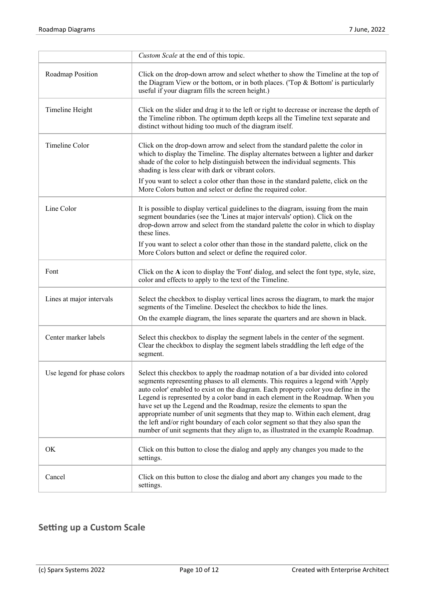|                             | Custom Scale at the end of this topic.                                                                                                                                                                                                                                                                                                                                                                                                                                                                                                                                                                                                                                              |
|-----------------------------|-------------------------------------------------------------------------------------------------------------------------------------------------------------------------------------------------------------------------------------------------------------------------------------------------------------------------------------------------------------------------------------------------------------------------------------------------------------------------------------------------------------------------------------------------------------------------------------------------------------------------------------------------------------------------------------|
| Roadmap Position            | Click on the drop-down arrow and select whether to show the Timeline at the top of<br>the Diagram View or the bottom, or in both places. ('Top $&$ Bottom' is particularly<br>useful if your diagram fills the screen height.)                                                                                                                                                                                                                                                                                                                                                                                                                                                      |
| Timeline Height             | Click on the slider and drag it to the left or right to decrease or increase the depth of<br>the Timeline ribbon. The optimum depth keeps all the Timeline text separate and<br>distinct without hiding too much of the diagram itself.                                                                                                                                                                                                                                                                                                                                                                                                                                             |
| Timeline Color              | Click on the drop-down arrow and select from the standard palette the color in<br>which to display the Timeline. The display alternates between a lighter and darker<br>shade of the color to help distinguish between the individual segments. This<br>shading is less clear with dark or vibrant colors.                                                                                                                                                                                                                                                                                                                                                                          |
|                             | If you want to select a color other than those in the standard palette, click on the<br>More Colors button and select or define the required color.                                                                                                                                                                                                                                                                                                                                                                                                                                                                                                                                 |
| Line Color                  | It is possible to display vertical guidelines to the diagram, issuing from the main<br>segment boundaries (see the 'Lines at major intervals' option). Click on the<br>drop-down arrow and select from the standard palette the color in which to display<br>these lines.                                                                                                                                                                                                                                                                                                                                                                                                           |
|                             | If you want to select a color other than those in the standard palette, click on the<br>More Colors button and select or define the required color.                                                                                                                                                                                                                                                                                                                                                                                                                                                                                                                                 |
| Font                        | Click on the A icon to display the 'Font' dialog, and select the font type, style, size,<br>color and effects to apply to the text of the Timeline.                                                                                                                                                                                                                                                                                                                                                                                                                                                                                                                                 |
| Lines at major intervals    | Select the checkbox to display vertical lines across the diagram, to mark the major<br>segments of the Timeline. Deselect the checkbox to hide the lines.                                                                                                                                                                                                                                                                                                                                                                                                                                                                                                                           |
|                             | On the example diagram, the lines separate the quarters and are shown in black.                                                                                                                                                                                                                                                                                                                                                                                                                                                                                                                                                                                                     |
| Center marker labels        | Select this checkbox to display the segment labels in the center of the segment.<br>Clear the checkbox to display the segment labels straddling the left edge of the<br>segment.                                                                                                                                                                                                                                                                                                                                                                                                                                                                                                    |
| Use legend for phase colors | Select this checkbox to apply the roadmap notation of a bar divided into colored<br>segments representing phases to all elements. This requires a legend with 'Apply<br>auto color' enabled to exist on the diagram. Each property color you define in the<br>Legend is represented by a color band in each element in the Roadmap. When you<br>have set up the Legend and the Roadmap, resize the elements to span the<br>appropriate number of unit segments that they map to. Within each element, drag<br>the left and/or right boundary of each color segment so that they also span the<br>number of unit segments that they align to, as illustrated in the example Roadmap. |
| OK                          | Click on this button to close the dialog and apply any changes you made to the<br>settings.                                                                                                                                                                                                                                                                                                                                                                                                                                                                                                                                                                                         |
| Cancel                      | Click on this button to close the dialog and abort any changes you made to the<br>settings.                                                                                                                                                                                                                                                                                                                                                                                                                                                                                                                                                                                         |

## **Setting up a Custom Scale**